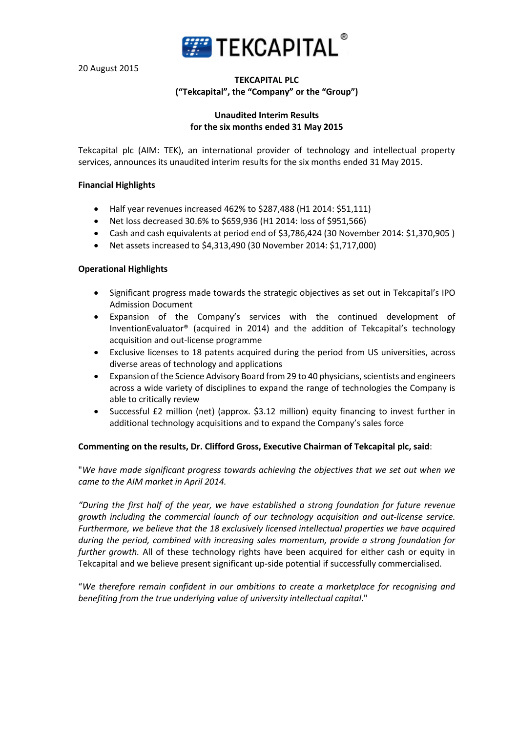

20 August 2015

# **TEKCAPITAL PLC ("Tekcapital", the "Company" or the "Group")**

## **Unaudited Interim Results for the six months ended 31 May 2015**

Tekcapital plc (AIM: TEK), an international provider of technology and intellectual property services, announces its unaudited interim results for the six months ended 31 May 2015.

## **Financial Highlights**

- Half year revenues increased 462% to \$287,488 (H1 2014: \$51,111)
- Net loss decreased 30.6% to \$659,936 (H1 2014: loss of \$951,566)
- Cash and cash equivalents at period end of \$3,786,424 (30 November 2014: \$1,370,905 )
- Net assets increased to \$4,313,490 (30 November 2014: \$1,717,000)

## **Operational Highlights**

- Significant progress made towards the strategic objectives as set out in Tekcapital's IPO Admission Document
- Expansion of the Company's services with the continued development of InventionEvaluator® (acquired in 2014) and the addition of Tekcapital's technology acquisition and out-license programme
- Exclusive licenses to 18 patents acquired during the period from US universities, across diverse areas of technology and applications
- Expansion of the Science Advisory Board from 29 to 40 physicians, scientists and engineers across a wide variety of disciplines to expand the range of technologies the Company is able to critically review
- Successful £2 million (net) (approx. \$3.12 million) equity financing to invest further in additional technology acquisitions and to expand the Company's sales force

## **Commenting on the results, Dr. Clifford Gross, Executive Chairman of Tekcapital plc, said**:

"*We have made significant progress towards achieving the objectives that we set out when we came to the AIM market in April 2014.*

*"During the first half of the year, we have established a strong foundation for future revenue growth including the commercial launch of our technology acquisition and out-license service. Furthermore, we believe that the 18 exclusively licensed intellectual properties we have acquired during the period, combined with increasing sales momentum, provide a strong foundation for further growth.* All of these technology rights have been acquired for either cash or equity in Tekcapital and we believe present significant up-side potential if successfully commercialised.

"*We therefore remain confident in our ambitions to create a marketplace for recognising and benefiting from the true underlying value of university intellectual capital*."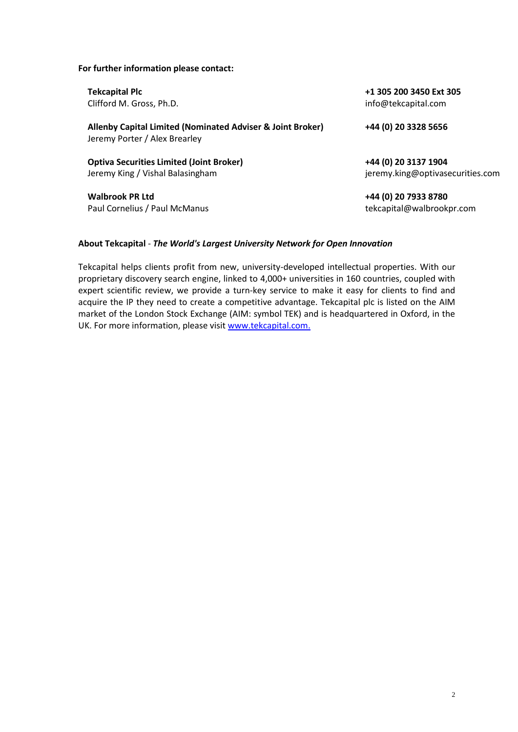#### **For further information please contact:**

Clifford M. Gross, Ph.D. info@tekcapital.com

**Allenby Capital Limited (Nominated Adviser & Joint Broker) +44 (0) 20 3328 5656** Jeremy Porter / Alex Brearley

**Optiva Securities Limited (Joint Broker) +44 (0) 20 3137 1904** Jeremy King / Vishal Balasingham in the matrix of the settenties of the settenties.com

**Walbrook PR Ltd +44 (0) 20 7933 8780** Paul Cornelius / Paul McManus tekcapital@walbrookpr.com

**Tekcapital Plc +1 305 200 3450 Ext 305**

#### **About Tekcapital** - *The World's Largest University Network for Open Innovation*

Tekcapital helps clients profit from new, university-developed intellectual properties. With our proprietary discovery search engine, linked to 4,000+ universities in 160 countries, coupled with expert scientific review, we provide a turn-key service to make it easy for clients to find and acquire the IP they need to create a competitive advantage. Tekcapital plc is listed on the AIM market of the London Stock Exchange (AIM: symbol TEK) and is headquartered in Oxford, in the UK. For more information, please visit www.tekcapital.com.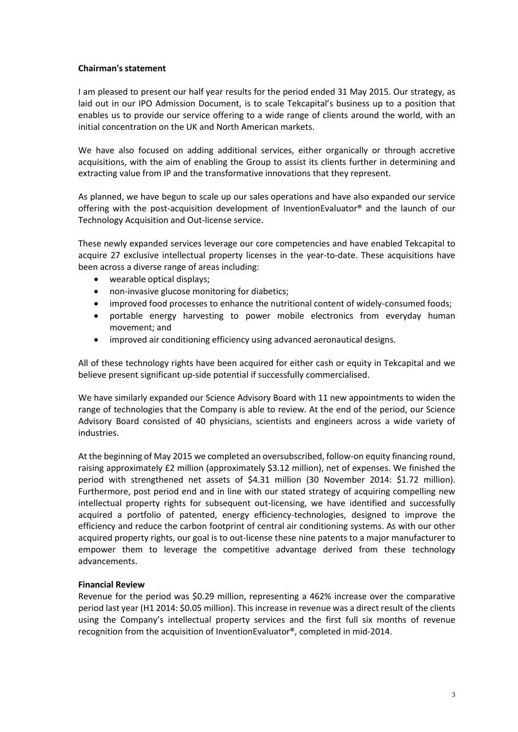# **Chairman's statement**

I am pleased to present our half year results for the period ended 31 May 2015. Our strategy, as laid out in our IPO Admission Document, is to scale Tekcapital's business up to a position that enables us to provide our service offering to a wide range of clients around the world, with an initial concentration on the UK and North American markets.

We have also focused on adding additional services, either organically or through accretive acquisitions, with the aim of enabling the Group to assist its clients further in determining and extracting value from IP and the transformative innovations that they represent.

As planned, we have begun to scale up our sales operations and have also expanded our service offering with the post-acquisition development of InventionEvaluator® and the launch of our Technology Acquisition and Out-license service.

These newly expanded services leverage our core competencies and have enabled Tekcapital to acquire 27 exclusive intellectual property licenses in the year-to-date. These acquisitions have been across a diverse range of areas including:

- wearable optical displays;
- non-invasive glucose monitoring for diabetics;
- improved food processes to enhance the nutritional content of widely-consumed foods;
- portable energy harvesting to power mobile electronics from everyday human movement; and
- improved air conditioning efficiency using advanced aeronautical designs.

All of these technology rights have been acquired for either cash or equity in Tekcapital and we believe present significant up-side potential if successfully commercialised.

We have similarly expanded our Science Advisory Board with 11 new appointments to widen the range of technologies that the Company is able to review. At the end of the period, our Science Advisory Board consisted of 40 physicians, scientists and engineers across a wide variety of industries.

At the beginning of May 2015 we completed an oversubscribed, follow-on equity financing round, raising approximately £2 million (approximately \$3.12 million), net of expenses. We finished the period with strengthened net assets of \$4.31 million (30 November 2014: \$1.72 million). Furthermore, post period end and in line with our stated strategy of acquiring compelling new intellectual property rights for subsequent out-licensing, we have identified and successfully acquired a portfolio of patented, energy efficiency-technologies, designed to improve the efficiency and reduce the carbon footprint of central air conditioning systems. As with our other acquired property rights, our goal is to out-license these nine patents to a major manufacturer to empower them to leverage the competitive advantage derived from these technology advancements.

## **Financial Review**

Revenue for the period was \$0.29 million, representing a 462% increase over the comparative period last year (H1 2014: \$0.05 million). This increase in revenue was a direct result of the clients using the Company's intellectual property services and the first full six months of revenue recognition from the acquisition of InventionEvaluator®, completed in mid-2014.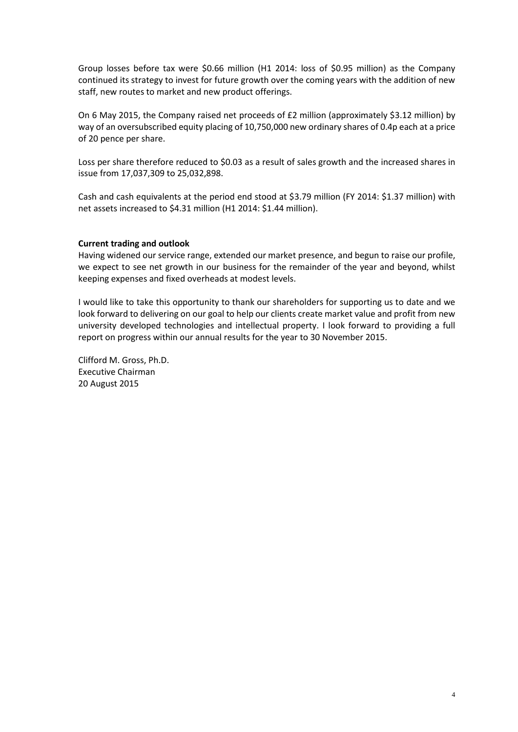Group losses before tax were \$0.66 million (H1 2014: loss of \$0.95 million) as the Company continued its strategy to invest for future growth over the coming years with the addition of new staff, new routes to market and new product offerings.

On 6 May 2015, the Company raised net proceeds of £2 million (approximately \$3.12 million) by way of an oversubscribed equity placing of 10,750,000 new ordinary shares of 0.4p each at a price of 20 pence per share.

Loss per share therefore reduced to \$0.03 as a result of sales growth and the increased shares in issue from 17,037,309 to 25,032,898.

Cash and cash equivalents at the period end stood at \$3.79 million (FY 2014: \$1.37 million) with net assets increased to \$4.31 million (H1 2014: \$1.44 million).

#### **Current trading and outlook**

Having widened our service range, extended our market presence, and begun to raise our profile, we expect to see net growth in our business for the remainder of the year and beyond, whilst keeping expenses and fixed overheads at modest levels.

I would like to take this opportunity to thank our shareholders for supporting us to date and we look forward to delivering on our goal to help our clients create market value and profit from new university developed technologies and intellectual property. I look forward to providing a full report on progress within our annual results for the year to 30 November 2015.

Clifford M. Gross, Ph.D. Executive Chairman 20 August 2015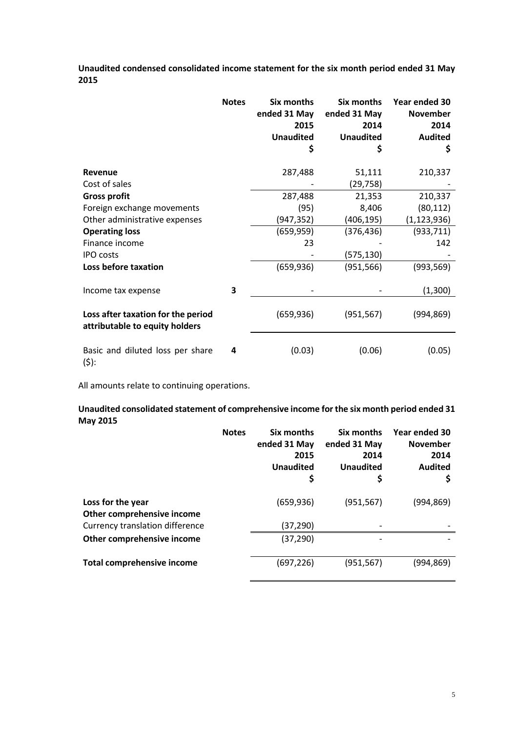**Unaudited condensed consolidated income statement for the six month period ended 31 May 2015**

|                                                                      | <b>Notes</b> | Six months<br>ended 31 May<br>2015<br><b>Unaudited</b><br>\$ | Six months<br>ended 31 May<br>2014<br><b>Unaudited</b><br>\$ | Year ended 30<br><b>November</b><br>2014<br><b>Audited</b><br>\$ |
|----------------------------------------------------------------------|--------------|--------------------------------------------------------------|--------------------------------------------------------------|------------------------------------------------------------------|
| Revenue                                                              |              | 287,488                                                      | 51,111                                                       | 210,337                                                          |
| Cost of sales                                                        |              |                                                              | (29, 758)                                                    |                                                                  |
| <b>Gross profit</b>                                                  |              | 287,488                                                      | 21,353                                                       | 210,337                                                          |
| Foreign exchange movements                                           |              | (95)                                                         | 8,406                                                        | (80, 112)                                                        |
| Other administrative expenses                                        |              | (947, 352)                                                   | (406,195)                                                    | (1, 123, 936)                                                    |
| <b>Operating loss</b>                                                |              | (659, 959)                                                   | (376, 436)                                                   | (933, 711)                                                       |
| Finance income                                                       |              | 23                                                           |                                                              | 142                                                              |
| <b>IPO</b> costs                                                     |              |                                                              | (575, 130)                                                   |                                                                  |
| Loss before taxation                                                 |              | (659, 936)                                                   | (951, 566)                                                   | (993,569)                                                        |
| Income tax expense                                                   | 3            |                                                              |                                                              | (1,300)                                                          |
| Loss after taxation for the period<br>attributable to equity holders |              | (659, 936)                                                   | (951, 567)                                                   | (994, 869)                                                       |
| Basic and diluted loss per share<br>$(5)$ :                          | 4            | (0.03)                                                       | (0.06)                                                       | (0.05)                                                           |

All amounts relate to continuing operations.

# **Unaudited consolidated statement of comprehensive income for the six month period ended 31 May 2015**

|                                                 | <b>Notes</b> | Six months<br>ended 31 May<br>2015<br><b>Unaudited</b><br>Ş | Six months<br>ended 31 May<br>2014<br><b>Unaudited</b><br>\$ | Year ended 30<br><b>November</b><br>2014<br><b>Audited</b><br>\$ |
|-------------------------------------------------|--------------|-------------------------------------------------------------|--------------------------------------------------------------|------------------------------------------------------------------|
| Loss for the year<br>Other comprehensive income |              | (659, 936)                                                  | (951, 567)                                                   | (994, 869)                                                       |
| <b>Currency translation difference</b>          |              | (37,290)                                                    |                                                              |                                                                  |
| Other comprehensive income                      |              | (37, 290)                                                   |                                                              |                                                                  |
| <b>Total comprehensive income</b>               |              | (697,226)                                                   | (951, 567)                                                   | (994,869)                                                        |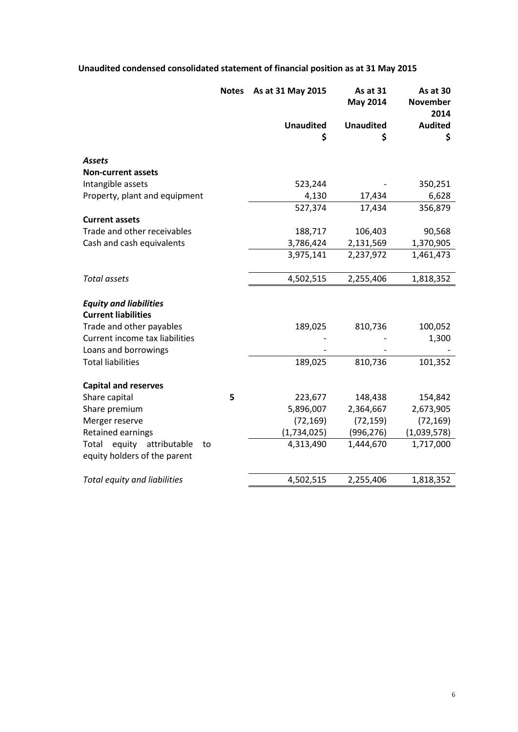# **Unaudited condensed consolidated statement of financial position as at 31 May 2015**

|                                                            | <b>Notes</b> | As at 31 May 2015 | As at 31<br><b>May 2014</b> | As at 30<br><b>November</b><br>2014 |
|------------------------------------------------------------|--------------|-------------------|-----------------------------|-------------------------------------|
|                                                            |              | <b>Unaudited</b>  | <b>Unaudited</b>            | <b>Audited</b>                      |
|                                                            |              | \$                | \$                          | \$                                  |
| <b>Assets</b>                                              |              |                   |                             |                                     |
| <b>Non-current assets</b>                                  |              |                   |                             |                                     |
| Intangible assets                                          |              | 523,244           |                             | 350,251                             |
| Property, plant and equipment                              |              | 4,130             | 17,434                      | 6,628                               |
|                                                            |              | 527,374           | 17,434                      | 356,879                             |
| <b>Current assets</b>                                      |              |                   |                             |                                     |
| Trade and other receivables                                |              | 188,717           | 106,403                     | 90,568                              |
| Cash and cash equivalents                                  |              | 3,786,424         | 2,131,569                   | 1,370,905                           |
|                                                            |              | 3,975,141         | 2,237,972                   | 1,461,473                           |
|                                                            |              |                   |                             |                                     |
| <b>Total assets</b>                                        |              | 4,502,515         | 2,255,406                   | 1,818,352                           |
|                                                            |              |                   |                             |                                     |
| <b>Equity and liabilities</b>                              |              |                   |                             |                                     |
| <b>Current liabilities</b>                                 |              |                   |                             |                                     |
| Trade and other payables<br>Current income tax liabilities |              | 189,025           | 810,736                     | 100,052                             |
|                                                            |              |                   |                             | 1,300                               |
| Loans and borrowings<br><b>Total liabilities</b>           |              |                   |                             |                                     |
|                                                            |              | 189,025           | 810,736                     | 101,352                             |
| <b>Capital and reserves</b>                                |              |                   |                             |                                     |
| Share capital                                              | 5            | 223,677           | 148,438                     | 154,842                             |
| Share premium                                              |              | 5,896,007         | 2,364,667                   | 2,673,905                           |
| Merger reserve                                             |              | (72, 169)         | (72, 159)                   | (72, 169)                           |
| Retained earnings                                          |              | (1,734,025)       | (996, 276)                  | (1,039,578)                         |
| equity attributable<br>Total<br>to                         |              | 4,313,490         | 1,444,670                   | 1,717,000                           |
| equity holders of the parent                               |              |                   |                             |                                     |
| Total equity and liabilities                               |              | 4,502,515         | 2,255,406                   | 1,818,352                           |
|                                                            |              |                   |                             |                                     |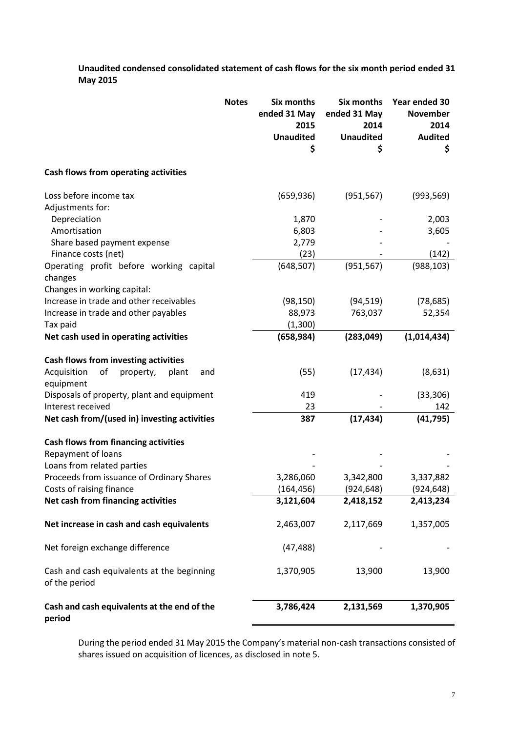**Unaudited condensed consolidated statement of cash flows for the six month period ended 31 May 2015**

|                                                             | <b>Notes</b> | <b>Six months</b><br>ended 31 May<br>2015<br><b>Unaudited</b><br>\$ | Six months<br>ended 31 May<br>2014<br><b>Unaudited</b><br>\$ | Year ended 30<br><b>November</b><br>2014<br><b>Audited</b><br>\$ |
|-------------------------------------------------------------|--------------|---------------------------------------------------------------------|--------------------------------------------------------------|------------------------------------------------------------------|
| Cash flows from operating activities                        |              |                                                                     |                                                              |                                                                  |
| Loss before income tax                                      |              | (659, 936)                                                          | (951, 567)                                                   | (993, 569)                                                       |
| Adjustments for:                                            |              |                                                                     |                                                              |                                                                  |
| Depreciation                                                |              | 1,870                                                               |                                                              | 2,003                                                            |
| Amortisation                                                |              | 6,803                                                               |                                                              | 3,605                                                            |
| Share based payment expense                                 |              | 2,779                                                               |                                                              |                                                                  |
| Finance costs (net)                                         |              | (23)                                                                |                                                              | (142)                                                            |
| Operating profit before working capital<br>changes          |              | (648, 507)                                                          | (951, 567)                                                   | (988, 103)                                                       |
| Changes in working capital:                                 |              |                                                                     |                                                              |                                                                  |
| Increase in trade and other receivables                     |              | (98, 150)                                                           | (94, 519)                                                    | (78, 685)                                                        |
| Increase in trade and other payables                        |              | 88,973                                                              | 763,037                                                      | 52,354                                                           |
| Tax paid                                                    |              | (1,300)                                                             |                                                              |                                                                  |
| Net cash used in operating activities                       |              | (658, 984)                                                          | (283, 049)                                                   | (1,014,434)                                                      |
| Cash flows from investing activities                        |              |                                                                     |                                                              |                                                                  |
| Acquisition<br>оf<br>property,<br>plant<br>and<br>equipment |              | (55)                                                                | (17, 434)                                                    | (8,631)                                                          |
| Disposals of property, plant and equipment                  |              | 419                                                                 |                                                              | (33, 306)                                                        |
| Interest received                                           |              | 23                                                                  |                                                              | 142                                                              |
| Net cash from/(used in) investing activities                |              | 387                                                                 | (17, 434)                                                    | (41, 795)                                                        |
| <b>Cash flows from financing activities</b>                 |              |                                                                     |                                                              |                                                                  |
| Repayment of loans                                          |              |                                                                     |                                                              |                                                                  |
| Loans from related parties                                  |              |                                                                     |                                                              |                                                                  |
| Proceeds from issuance of Ordinary Shares                   |              | 3,286,060                                                           | 3,342,800                                                    | 3,337,882                                                        |
| Costs of raising finance                                    |              | (164, 456)                                                          | (924, 648)                                                   | (924, 648)                                                       |
| Net cash from financing activities                          |              | 3,121,604                                                           | 2,418,152                                                    | 2,413,234                                                        |
| Net increase in cash and cash equivalents                   |              | 2,463,007                                                           | 2,117,669                                                    | 1,357,005                                                        |
| Net foreign exchange difference                             |              | (47, 488)                                                           |                                                              |                                                                  |
| Cash and cash equivalents at the beginning<br>of the period |              | 1,370,905                                                           | 13,900                                                       | 13,900                                                           |
| Cash and cash equivalents at the end of the<br>period       |              | 3,786,424                                                           | 2,131,569                                                    | 1,370,905                                                        |

During the period ended 31 May 2015 the Company's material non-cash transactions consisted of shares issued on acquisition of licences, as disclosed in note 5.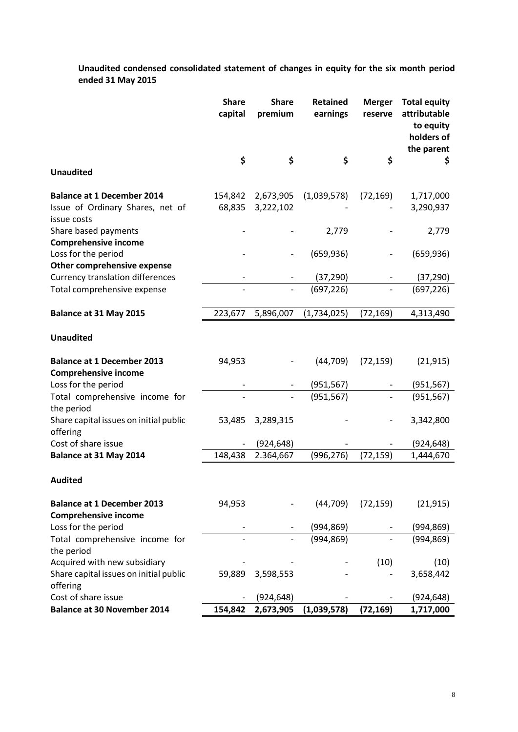**Unaudited condensed consolidated statement of changes in equity for the six month period ended 31 May 2015**

|                                                                                      | <b>Share</b><br>capital | <b>Share</b><br>premium | <b>Retained</b><br>earnings | <b>Merger</b><br>reserve | <b>Total equity</b><br>attributable<br>to equity<br>holders of<br>the parent |
|--------------------------------------------------------------------------------------|-------------------------|-------------------------|-----------------------------|--------------------------|------------------------------------------------------------------------------|
| <b>Unaudited</b>                                                                     | \$                      | \$                      | \$                          | \$                       | \$                                                                           |
| <b>Balance at 1 December 2014</b><br>Issue of Ordinary Shares, net of<br>issue costs | 154,842<br>68,835       | 2,673,905<br>3,222,102  | (1,039,578)                 | (72, 169)                | 1,717,000<br>3,290,937                                                       |
| Share based payments<br><b>Comprehensive income</b>                                  |                         |                         | 2,779                       |                          | 2,779                                                                        |
| Loss for the period<br>Other comprehensive expense                                   |                         |                         | (659, 936)                  |                          | (659, 936)                                                                   |
| <b>Currency translation differences</b><br>Total comprehensive expense               |                         |                         | (37, 290)<br>(697, 226)     |                          | (37, 290)<br>(697, 226)                                                      |
| Balance at 31 May 2015                                                               | 223,677                 | 5,896,007               | (1,734,025)                 | (72, 169)                | 4,313,490                                                                    |
| <b>Unaudited</b>                                                                     |                         |                         |                             |                          |                                                                              |
| <b>Balance at 1 December 2013</b><br><b>Comprehensive income</b>                     | 94,953                  |                         | (44, 709)                   | (72, 159)                | (21, 915)                                                                    |
| Loss for the period                                                                  |                         |                         | (951, 567)                  |                          | (951, 567)                                                                   |
| Total comprehensive income for<br>the period                                         |                         |                         | (951, 567)                  |                          | (951, 567)                                                                   |
| Share capital issues on initial public<br>offering                                   | 53,485                  | 3,289,315               |                             |                          | 3,342,800                                                                    |
| Cost of share issue                                                                  |                         | (924, 648)              |                             |                          | (924, 648)                                                                   |
| Balance at 31 May 2014                                                               | 148,438                 | 2.364,667               | (996, 276)                  | (72, 159)                | 1,444,670                                                                    |
| <b>Audited</b>                                                                       |                         |                         |                             |                          |                                                                              |
| <b>Balance at 1 December 2013</b><br><b>Comprehensive income</b>                     | 94,953                  |                         | (44, 709)                   | (72, 159)                | (21, 915)                                                                    |
| Loss for the period                                                                  |                         |                         | (994, 869)                  |                          | (994, 869)                                                                   |
| Total comprehensive income for<br>the period                                         |                         |                         | (994, 869)                  |                          | (994, 869)                                                                   |
| Acquired with new subsidiary<br>Share capital issues on initial public<br>offering   | 59,889                  | 3,598,553               |                             | (10)                     | (10)<br>3,658,442                                                            |
| Cost of share issue                                                                  |                         | (924, 648)              |                             |                          | (924, 648)                                                                   |
| <b>Balance at 30 November 2014</b>                                                   | 154,842                 | 2,673,905               | (1,039,578)                 | (72, 169)                | 1,717,000                                                                    |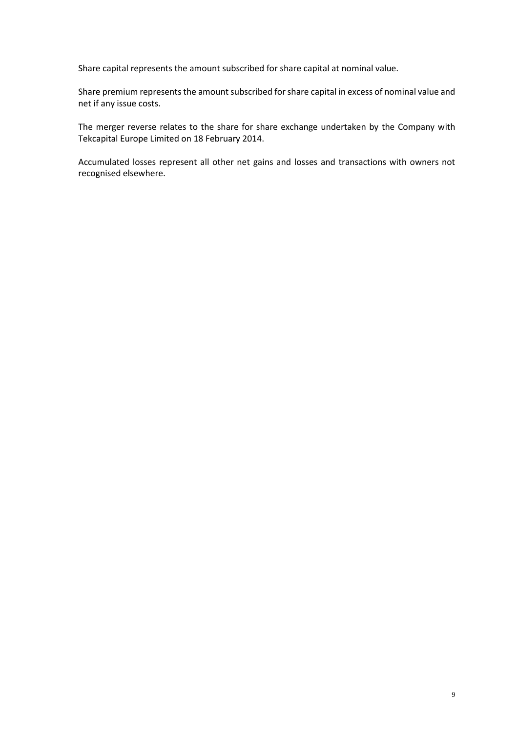Share capital represents the amount subscribed for share capital at nominal value.

Share premium represents the amount subscribed for share capital in excess of nominal value and net if any issue costs.

The merger reverse relates to the share for share exchange undertaken by the Company with Tekcapital Europe Limited on 18 February 2014.

Accumulated losses represent all other net gains and losses and transactions with owners not recognised elsewhere.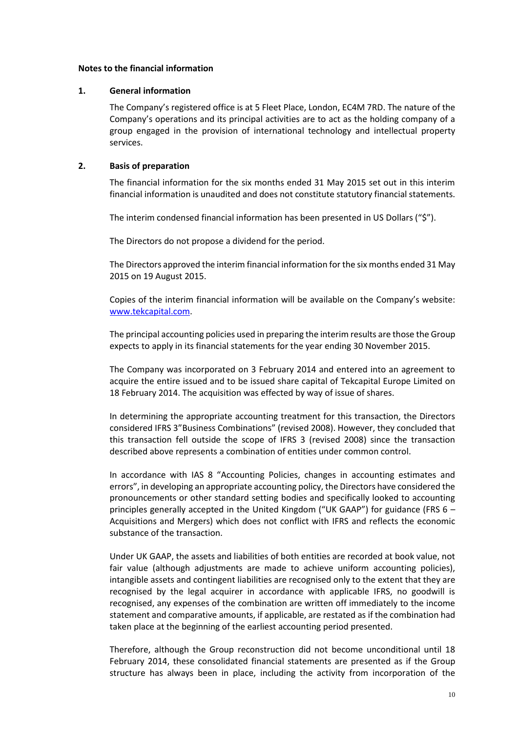### **Notes to the financial information**

### **1. General information**

The Company's registered office is at 5 Fleet Place, London, EC4M 7RD. The nature of the Company's operations and its principal activities are to act as the holding company of a group engaged in the provision of international technology and intellectual property services.

# **2. Basis of preparation**

The financial information for the six months ended 31 May 2015 set out in this interim financial information is unaudited and does not constitute statutory financial statements.

The interim condensed financial information has been presented in US Dollars ("\$").

The Directors do not propose a dividend for the period.

The Directors approved the interim financial information for the six months ended 31 May 2015 on 19 August 2015.

Copies of the interim financial information will be available on the Company's website: [www.tekcapital.com.](http://www.tekcapital.com/)

The principal accounting policies used in preparing the interim results are those the Group expects to apply in its financial statements for the year ending 30 November 2015.

The Company was incorporated on 3 February 2014 and entered into an agreement to acquire the entire issued and to be issued share capital of Tekcapital Europe Limited on 18 February 2014. The acquisition was effected by way of issue of shares.

In determining the appropriate accounting treatment for this transaction, the Directors considered IFRS 3"Business Combinations" (revised 2008). However, they concluded that this transaction fell outside the scope of IFRS 3 (revised 2008) since the transaction described above represents a combination of entities under common control.

In accordance with IAS 8 "Accounting Policies, changes in accounting estimates and errors", in developing an appropriate accounting policy, the Directors have considered the pronouncements or other standard setting bodies and specifically looked to accounting principles generally accepted in the United Kingdom ("UK GAAP") for guidance (FRS 6 – Acquisitions and Mergers) which does not conflict with IFRS and reflects the economic substance of the transaction.

Under UK GAAP, the assets and liabilities of both entities are recorded at book value, not fair value (although adjustments are made to achieve uniform accounting policies), intangible assets and contingent liabilities are recognised only to the extent that they are recognised by the legal acquirer in accordance with applicable IFRS, no goodwill is recognised, any expenses of the combination are written off immediately to the income statement and comparative amounts, if applicable, are restated as if the combination had taken place at the beginning of the earliest accounting period presented.

Therefore, although the Group reconstruction did not become unconditional until 18 February 2014, these consolidated financial statements are presented as if the Group structure has always been in place, including the activity from incorporation of the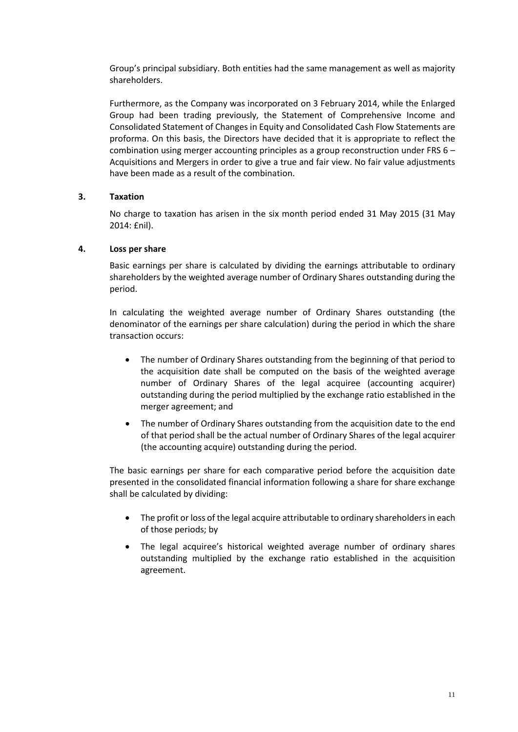Group's principal subsidiary. Both entities had the same management as well as majority shareholders.

Furthermore, as the Company was incorporated on 3 February 2014, while the Enlarged Group had been trading previously, the Statement of Comprehensive Income and Consolidated Statement of Changes in Equity and Consolidated Cash Flow Statements are proforma. On this basis, the Directors have decided that it is appropriate to reflect the combination using merger accounting principles as a group reconstruction under FRS  $6 -$ Acquisitions and Mergers in order to give a true and fair view. No fair value adjustments have been made as a result of the combination.

# **3. Taxation**

No charge to taxation has arisen in the six month period ended 31 May 2015 (31 May 2014: £nil).

# **4. Loss per share**

Basic earnings per share is calculated by dividing the earnings attributable to ordinary shareholders by the weighted average number of Ordinary Shares outstanding during the period.

In calculating the weighted average number of Ordinary Shares outstanding (the denominator of the earnings per share calculation) during the period in which the share transaction occurs:

- The number of Ordinary Shares outstanding from the beginning of that period to the acquisition date shall be computed on the basis of the weighted average number of Ordinary Shares of the legal acquiree (accounting acquirer) outstanding during the period multiplied by the exchange ratio established in the merger agreement; and
- The number of Ordinary Shares outstanding from the acquisition date to the end of that period shall be the actual number of Ordinary Shares of the legal acquirer (the accounting acquire) outstanding during the period.

The basic earnings per share for each comparative period before the acquisition date presented in the consolidated financial information following a share for share exchange shall be calculated by dividing:

- The profit or loss of the legal acquire attributable to ordinary shareholders in each of those periods; by
- The legal acquiree's historical weighted average number of ordinary shares outstanding multiplied by the exchange ratio established in the acquisition agreement.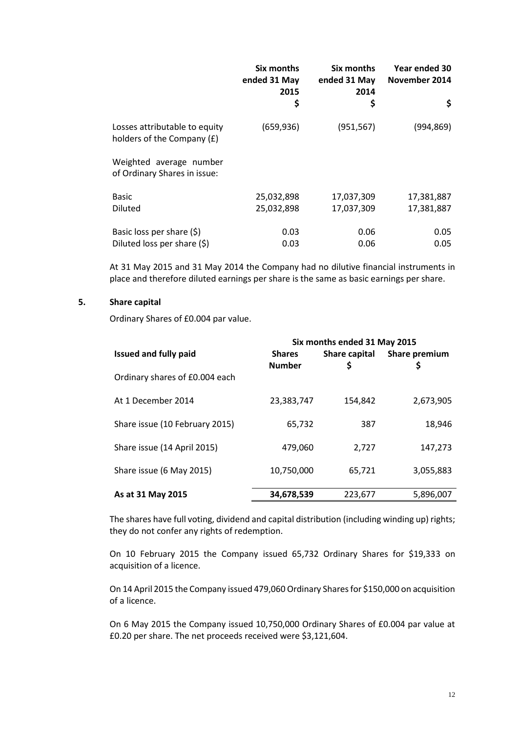|                                                             | Six months<br>ended 31 May<br>2015 | Six months<br>ended 31 May<br>2014 | Year ended 30<br>November 2014 |
|-------------------------------------------------------------|------------------------------------|------------------------------------|--------------------------------|
|                                                             | \$                                 | \$                                 | \$                             |
| Losses attributable to equity<br>holders of the Company (£) | (659, 936)                         | (951, 567)                         | (994, 869)                     |
| Weighted average number<br>of Ordinary Shares in issue:     |                                    |                                    |                                |
| <b>Basic</b>                                                | 25,032,898                         | 17,037,309                         | 17,381,887                     |
| Diluted                                                     | 25,032,898                         | 17,037,309                         | 17,381,887                     |
| Basic loss per share $(5)$                                  | 0.03                               | 0.06                               | 0.05                           |
| Diluted loss per share (\$)                                 | 0.03                               | 0.06                               | 0.05                           |

At 31 May 2015 and 31 May 2014 the Company had no dilutive financial instruments in place and therefore diluted earnings per share is the same as basic earnings per share.

# **5. Share capital**

Ordinary Shares of £0.004 par value.

|                                | Six months ended 31 May 2015   |                     |               |  |
|--------------------------------|--------------------------------|---------------------|---------------|--|
| <b>Issued and fully paid</b>   | <b>Shares</b><br><b>Number</b> | Share capital<br>\$ | Share premium |  |
| Ordinary shares of £0.004 each |                                |                     |               |  |
| At 1 December 2014             | 23,383,747                     | 154,842             | 2,673,905     |  |
| Share issue (10 February 2015) | 65,732                         | 387                 | 18,946        |  |
| Share issue (14 April 2015)    | 479,060                        | 2.727               | 147,273       |  |
| Share issue (6 May 2015)       | 10,750,000                     | 65,721              | 3,055,883     |  |
| As at 31 May 2015              | 34,678,539                     | 223,677             | 5,896,007     |  |

The shares have full voting, dividend and capital distribution (including winding up) rights; they do not confer any rights of redemption.

On 10 February 2015 the Company issued 65,732 Ordinary Shares for \$19,333 on acquisition of a licence.

On 14 April 2015 the Company issued 479,060 Ordinary Shares for \$150,000 on acquisition of a licence.

On 6 May 2015 the Company issued 10,750,000 Ordinary Shares of £0.004 par value at £0.20 per share. The net proceeds received were \$3,121,604.